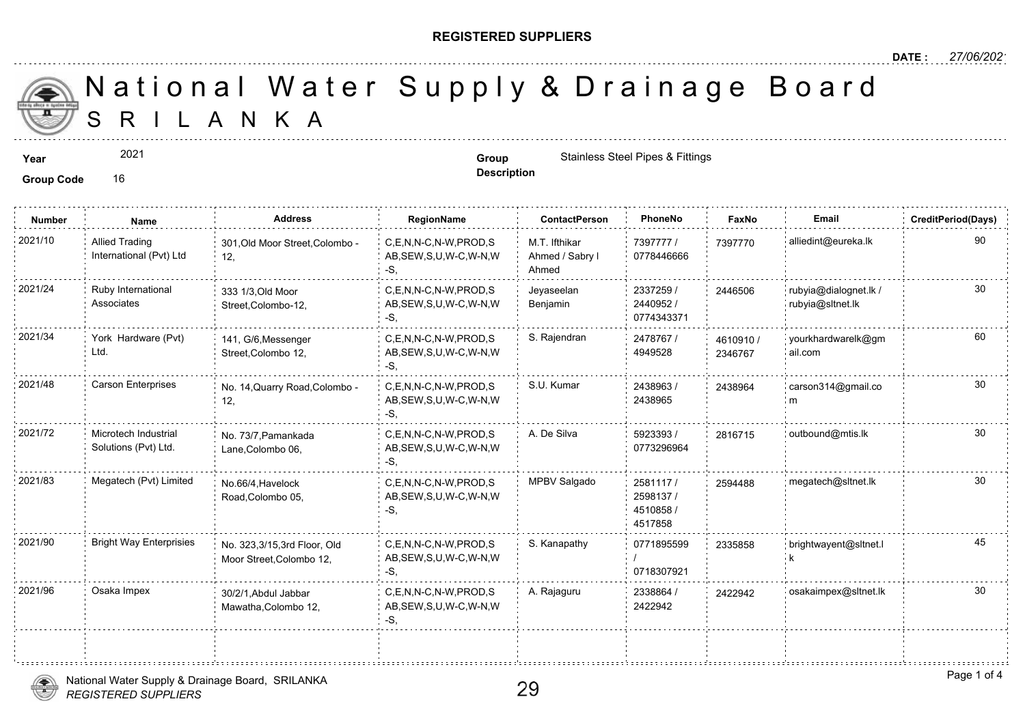## **REGISTERED SUPPLIERS**

**Description**

A N K A National Water Supply & Drainage

**Year Group Group** Stainless Steel Pipes & Fittings **Contains State Contains Steel Pipes & Fittings** 

Group Code 16

**Number Name Address RegionName ContactPerson PhoneNo FaxNo Email CreditPeriod(Days)** 7397777 / 73977 0778446666 M.T. Ifthikar Ahmed / Sabry l Ahmed C,E,N,N-C,N-W,PROD,S AB,SEW,S,U,W-C,W-N,W -S, 2021/10 Allied Trading 301,Old Moor Street,Colombo - C,E,N,N-C,N-W,PROD,S M.T. Ifthikar 7397777 / 739777 12, Allied Trading International (Pvt) Ltd 2337259 / 2440952 / 0774343371 Jeyaseelan Benjamin C,E,N,N-C,N-W,PROD,S 2021/24 rubyia@dialognet.lk / AB,SEW,S,U,W-C,W-N,W -S, 333 1/3,Old Moor Street,Colombo-12, Ruby International Associates 24465 2478767 / 4949528 2021/34 York Hardware (Pvt) 141, G/6 Messenger C,E,N,N-C,N-W,PROD,S S. Rajendran 2478767 / 46109 AB,SEW,S,U,W-C,W-N,W -S, 141, G/6,Messenger Street,Colombo 12, York Hardware (Pvt) Ltd. 46109<sup></sup> 234676 2438963 / 2438965 C,E,N,N-C,N-W,PROD,S S.U. Kumar AB,SEW,S,U,W-C,W-N,W -S, 2021/48 Carson Enterprises No. 14,Quarry Road,Colombo - C,E,N,N-C,N-W,PROD,S S.U. Kumar 2438963 / 243896 12, 243896 5923393 / 30 0773296964 2021/72 Microtech Industrial No. 73/7,Pamankada C,E,N,N-C,N-W,PROD,S A. De Silva 3923393 / 28167 AB,SEW,S,U,W-C,W-N,W -S, No. 73/7,Pamankada Lane,Colombo 06, Microtech Industrial Solutions (Pvt) Ltd. 2581117 / 25944 2598137 / 4510858 / 4517858 2021/83 Megatech (Pvt) Limited No.66/4, Havelock C,E,N,N-C,N-W,PROD,S MPBV Salgado 2581117 / 259448 AB,SEW,S,U,W-C,W-N,W -S, No.66/4,Havelock Road,Colombo 05, 0771895599 / 0718307921 C,E,N,N-C,N-W,PROD,S S. Kanapathy AB,SEW,S,U,W-C,W-N,W -S, 2021/90 Bright Way Enterprisies No. 323,3/15,3rd Floor, Old C,E,N,N-C,N-W,PROD,S S. Kanapathy 0771895599 233588 Moor Street,Colombo 12, 23358 2338864 / 24229 2422942 2021/96 Osaka Impex 30/2/1,Abdul Jabbar C,E,N,N-C,N-W,PROD,S A. Rajaguru 2338864 / 242294 AB,SEW,S,U,W-C,W-N,W -S, 30/2/1,Abdul Jabbar Mawatha,Colombo 12,





2021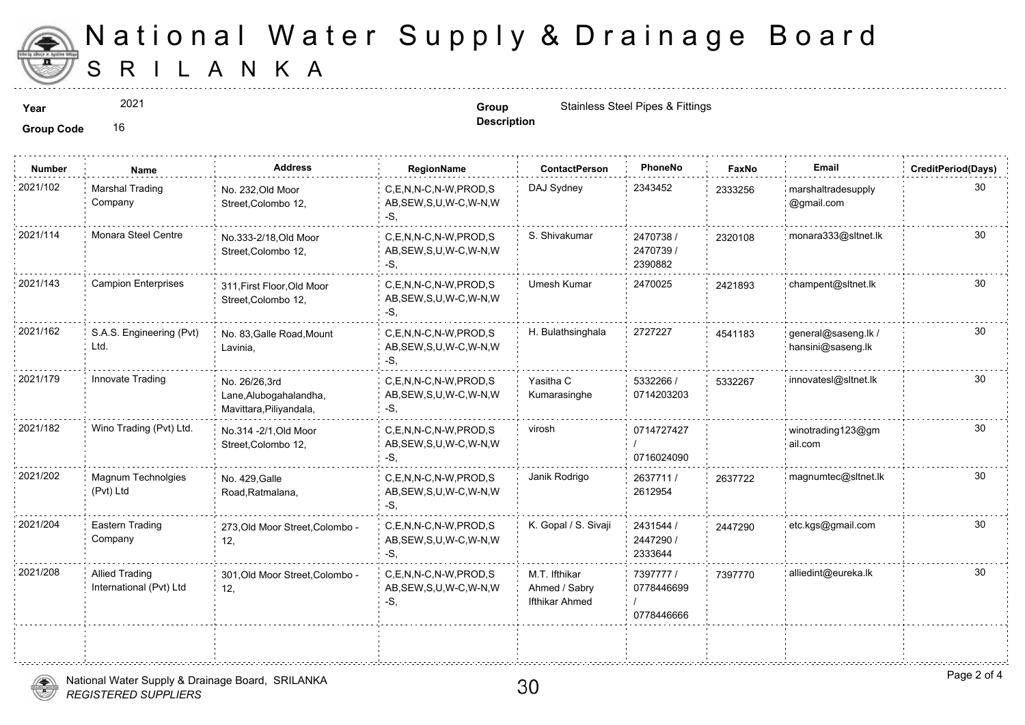

## S R I L A N K A National Water Supply & Drainage

2021

**Description**

**Year Group Group Group** Stainless Steel Pipes & Fittings **Contains State Contains Steel Pipes & Fittings** 

**Group Code** 16

| Name                                             | <b>Address</b>                                                     | RegionName                                                | <b>ContactPerson</b>                             | PhoneNo                              | Faxl   |
|--------------------------------------------------|--------------------------------------------------------------------|-----------------------------------------------------------|--------------------------------------------------|--------------------------------------|--------|
| <b>Marshal Trading</b><br>Company                | No. 232, Old Moor<br>Street, Colombo 12,                           | C.E.N.N-C.N-W.PROD.S<br>AB, SEW, S, U, W-C, W-N, W<br>-S. | DAJ Sydney                                       | 2343452                              | 233325 |
| Monara Steel Centre                              | No.333-2/18, Old Moor<br>Street, Colombo 12,                       | C,E,N,N-C,N-W,PROD,S<br>AB, SEW, S, U, W-C, W-N, W<br>-S, | S. Shivakumar                                    | 2470738 /<br>2470739/<br>2390882     | 232010 |
| <b>Campion Enterprises</b>                       | 311, First Floor, Old Moor<br>Street, Colombo 12,                  | C.E.N.N-C.N-W.PROD.S<br>AB, SEW, S, U, W-C, W-N, W<br>-S. | Umesh Kumar                                      | 2470025                              | 242189 |
| S.A.S. Engineering (Pvt)<br>Ltd.                 | No. 83, Galle Road, Mount<br>Lavinia,                              | C,E,N,N-C,N-W,PROD,S<br>AB, SEW, S, U, W-C, W-N, W<br>-S. | H. Bulathsinghala                                | 2727227                              | 454118 |
| Innovate Trading                                 | No. 26/26,3rd<br>Lane, Alubogahalandha,<br>Mavittara, Piliyandala, | C,E,N,N-C,N-W,PROD,S<br>AB, SEW, S, U, W-C, W-N, W<br>-S. | Yasitha C<br>Kumarasinghe                        | 5332266 /<br>0714203203              | 533226 |
| Wino Trading (Pvt) Ltd.                          | No.314 - 2/1, Old Moor<br>Street, Colombo 12,                      | C.E.N.N-C.N-W.PROD.S<br>AB, SEW, S, U, W-C, W-N, W<br>-S, | virosh                                           | 0714727427<br>0716024090             |        |
| Magnum Technolgies<br>(Pvt) Ltd                  | No. 429, Galle<br>Road, Ratmalana,                                 | C,E,N,N-C,N-W,PROD,S<br>AB, SEW, S, U, W-C, W-N, W<br>-S. | Janik Rodrigo                                    | 2637711 /<br>2612954                 | 263772 |
| Eastern Trading<br>Company                       | 273, Old Moor Street, Colombo -<br>12,                             | C.E.N.N-C.N-W.PROD.S<br>AB, SEW, S, U, W-C, W-N, W<br>-S. | K. Gopal / S. Sivaji                             | 2431544 /<br>2447290 /<br>2333644    | 244729 |
| <b>Allied Trading</b><br>International (Pvt) Ltd | 301, Old Moor Street, Colombo -<br>12,                             | C,E,N,N-C,N-W,PROD,S<br>AB, SEW, S, U, W-C, W-N, W<br>-S, | M.T. Ifthikar<br>Ahmed / Sabry<br>Ifthikar Ahmed | 7397777/<br>0778446699<br>0778446666 | 739777 |
|                                                  |                                                                    |                                                           |                                                  |                                      |        |

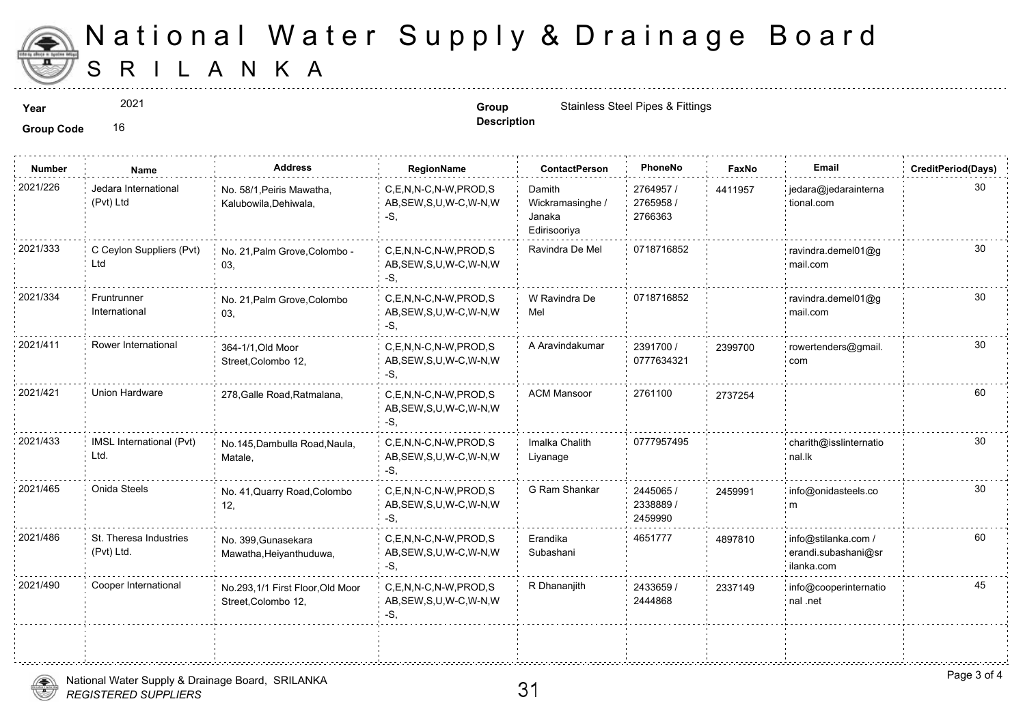

## S R I L A N K A National Water Supply & Drainage

2021

**Description**

**Year Group Group Group** Stainless Steel Pipes & Fittings **Contains State Contains Steel Pipes & Fittings** 

**Group Code** 16

| <b>Number</b> | Name                                 | <b>Address</b>                                          | RegionName                                                   | <b>ContactPerson</b>                                 | PhoneNo                           | Faxl   |
|---------------|--------------------------------------|---------------------------------------------------------|--------------------------------------------------------------|------------------------------------------------------|-----------------------------------|--------|
| 2021/226      | Jedara International<br>(Pvt) Ltd    | No. 58/1, Peiris Mawatha,<br>Kalubowila, Dehiwala,      | C,E,N,N-C,N-W,PROD,S<br>AB, SEW, S, U, W-C, W-N, W<br>-S.    | Damith<br>Wickramasinghe /<br>Janaka<br>Edirisooriya | 2764957 /<br>2765958 /<br>2766363 | 441195 |
| 2021/333      | C Ceylon Suppliers (Pvt)<br>Ltd      | No. 21, Palm Grove, Colombo -<br>03,                    | C.E.N.N-C.N-W.PROD.S<br>AB, SEW, S, U, W-C, W-N, W<br>-S.    | Ravindra De Mel                                      | 0718716852                        |        |
| 2021/334      | Fruntrunner<br>International         | No. 21, Palm Grove, Colombo<br>03,                      | C,E,N,N-C,N-W,PROD,S<br>AB, SEW, S, U, W-C, W-N, W<br>$-S$ . | W Ravindra De<br>Mel                                 | 0718716852                        |        |
| 2021/411      | Rower International                  | 364-1/1, Old Moor<br>Street, Colombo 12,                | C.E.N.N-C.N-W.PROD.S<br>AB, SEW, S, U, W-C, W-N, W<br>-S.    | A Aravindakumar                                      | 2391700 /<br>0777634321           | 239970 |
| 2021/421      | Union Hardware                       | 278, Galle Road, Ratmalana,                             | C.E.N.N-C.N-W.PROD.S<br>AB, SEW, S, U, W-C, W-N, W<br>-S.    | <b>ACM Mansoor</b>                                   | 2761100                           | 273725 |
| 2021/433      | IMSL International (Pvt)<br>Ltd.     | No.145, Dambulla Road, Naula,<br>Matale,                | C,E,N,N-C,N-W,PROD,S<br>AB, SEW, S, U, W-C, W-N, W<br>$-S,$  | Imalka Chalith<br>Liyanage                           | 0777957495                        |        |
| 2021/465      | Onida Steels                         | No. 41, Quarry Road, Colombo<br>12,                     | C,E,N,N-C,N-W,PROD,S<br>AB, SEW, S, U, W-C, W-N, W<br>-S,    | G Ram Shankar                                        | 2445065 /<br>2338889/<br>2459990  | 245999 |
| 2021/486      | St. Theresa Industries<br>(Pvt) Ltd. | No. 399, Gunasekara<br>Mawatha, Heiyanthuduwa,          | C,E,N,N-C,N-W,PROD,S<br>AB, SEW, S, U, W-C, W-N, W<br>$-S$ . | Erandika<br>Subashani                                | 4651777                           | 489781 |
| 2021/490      | Cooper International                 | No.293,1/1 First Floor, Old Moor<br>Street, Colombo 12, | C.E.N.N-C.N-W.PROD.S<br>AB, SEW, S, U, W-C, W-N, W<br>$-S$ , | R Dhananjith                                         | 2433659 /<br>2444868              | 233714 |
|               |                                      |                                                         |                                                              |                                                      |                                   |        |